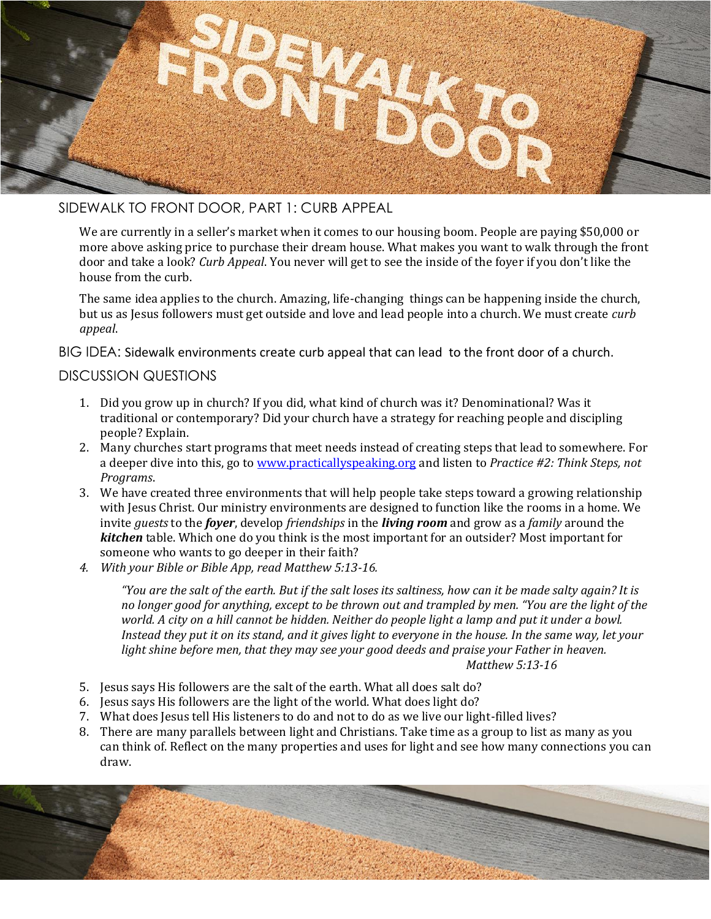

## SIDEWALK TO FRONT DOOR, PART 1: CURB APPEAL

We are currently in a seller's market when it comes to our housing boom. People are paying \$50,000 or more above asking price to purchase their dream house. What makes you want to walk through the front door and take a look? *Curb Appeal*. You never will get to see the inside of the foyer if you don't like the house from the curb.

The same idea applies to the church. Amazing, life-changing things can be happening inside the church, but us as Jesus followers must get outside and love and lead people into a church. We must create *curb appeal*.

BIG IDEA: Sidewalk environments create curb appeal that can lead to the front door of a church.

### DISCUSSION QUESTIONS

- 1. Did you grow up in church? If you did, what kind of church was it? Denominational? Was it traditional or contemporary? Did your church have a strategy for reaching people and discipling people? Explain.
- 2. Many churches start programs that meet needs instead of creating steps that lead to somewhere. For a deeper dive into this, go to [www.practicallyspeaking.org](http://www.practicallyspeaking.org/) and listen to *Practice #2: Think Steps, not Programs*.
- 3. We have created three environments that will help people take steps toward a growing relationship with Jesus Christ. Our ministry environments are designed to function like the rooms in a home. We invite *guests* to the *foyer*, develop *friendships* in the *living room* and grow as a *family* around the *kitchen* table. Which one do you think is the most important for an outsider? Most important for someone who wants to go deeper in their faith?
- *4. With your Bible or Bible App, read Matthew 5:13-16.*

*"You are the salt of the earth. But if the salt loses its saltiness, how can it be made salty again? It is no longer good for anything, except to be thrown out and trampled by men. "You are the light of the world. A city on a hill cannot be hidden. Neither do people light a lamp and put it under a bowl. Instead they put it on its stand, and it gives light to everyone in the house. In the same way, let your light shine before men, that they may see your good deeds and praise your Father in heaven. Matthew 5:13-16*

- 5. Jesus says His followers are the salt of the earth. What all does salt do?
- 6. Jesus says His followers are the light of the world. What does light do?
- 7. What does Jesus tell His listeners to do and not to do as we live our light-filled lives?
- 8. There are many parallels between light and Christians. Take time as a group to list as many as you can think of. Reflect on the many properties and uses for light and see how many connections you can draw.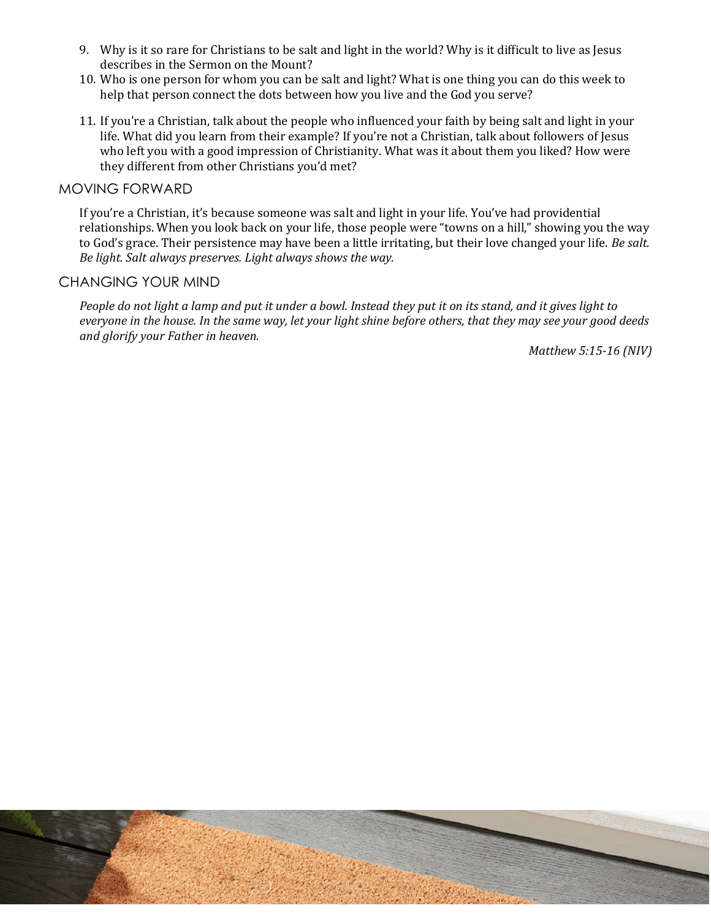- 9. Why is it so rare for Christians to be salt and light in the world? Why is it difficult to live as Jesus describes in the Sermon on the Mount?
- 10. Who is one person for whom you can be salt and light? What is one thing you can do this week to help that person connect the dots between how you live and the God you serve?
- 11. If you're a Christian, talk about the people who influenced your faith by being salt and light in your life. What did you learn from their example? If you're not a Christian, talk about followers of Jesus who left you with a good impression of Christianity. What was it about them you liked? How were they different from other Christians you'd met?

#### MOVING FORWARD

If you're a Christian, it's because someone was salt and light in your life. You've had providential relationships. When you look back on your life, those people were "towns on a hill," showing you the way to God's grace. Their persistence may have been a little irritating, but their love changed your life. *Be salt. Be light. Salt always preserves. Light always shows the way.*

### CHANGING YOUR MIND

*People do not light a lamp and put it under a bowl. Instead they put it on its stand, and it gives light to everyone in the house. In the same way, let your light shine before others, that they may see your good deeds and glorify your Father in heaven.*

*Matthew 5:15-16 (NIV)*